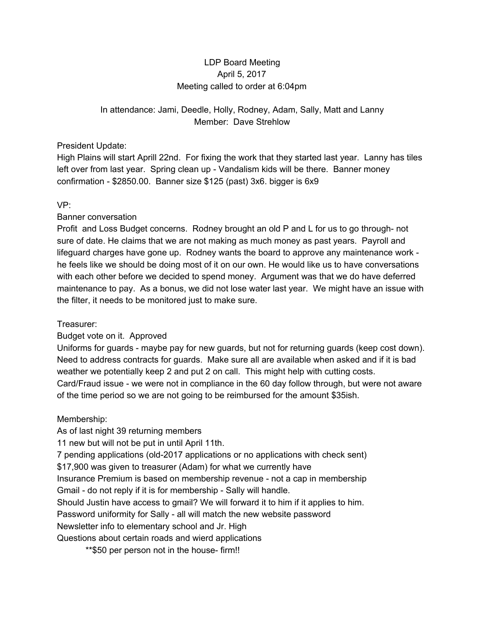# LDP Board Meeting April 5, 2017 Meeting called to order at 6:04pm

# In attendance: Jami, Deedle, Holly, Rodney, Adam, Sally, Matt and Lanny Member: Dave Strehlow

#### President Update:

High Plains will start Aprill 22nd. For fixing the work that they started last year. Lanny has tiles left over from last year. Spring clean up - Vandalism kids will be there. Banner money confirmation - \$2850.00. Banner size \$125 (past) 3x6. bigger is 6x9

## VP:

## Banner conversation

Profit and Loss Budget concerns. Rodney brought an old P and L for us to go through- not sure of date. He claims that we are not making as much money as past years. Payroll and lifeguard charges have gone up. Rodney wants the board to approve any maintenance work he feels like we should be doing most of it on our own. He would like us to have conversations with each other before we decided to spend money. Argument was that we do have deferred maintenance to pay. As a bonus, we did not lose water last year. We might have an issue with the filter, it needs to be monitored just to make sure.

## Treasurer:

## Budget vote on it. Approved

Uniforms for guards - maybe pay for new guards, but not for returning guards (keep cost down). Need to address contracts for guards. Make sure all are available when asked and if it is bad weather we potentially keep 2 and put 2 on call. This might help with cutting costs. Card/Fraud issue - we were not in compliance in the 60 day follow through, but were not aware of the time period so we are not going to be reimbursed for the amount \$35ish.

## Membership:

As of last night 39 returning members 11 new but will not be put in until April 11th. 7 pending applications (old-2017 applications or no applications with check sent) \$17,900 was given to treasurer (Adam) for what we currently have Insurance Premium is based on membership revenue - not a cap in membership Gmail - do not reply if it is for membership - Sally will handle. Should Justin have access to gmail? We will forward it to him if it applies to him. Password uniformity for Sally - all will match the new website password Newsletter info to elementary school and Jr. High Questions about certain roads and wierd applications \*\*\$50 per person not in the house- firm!!